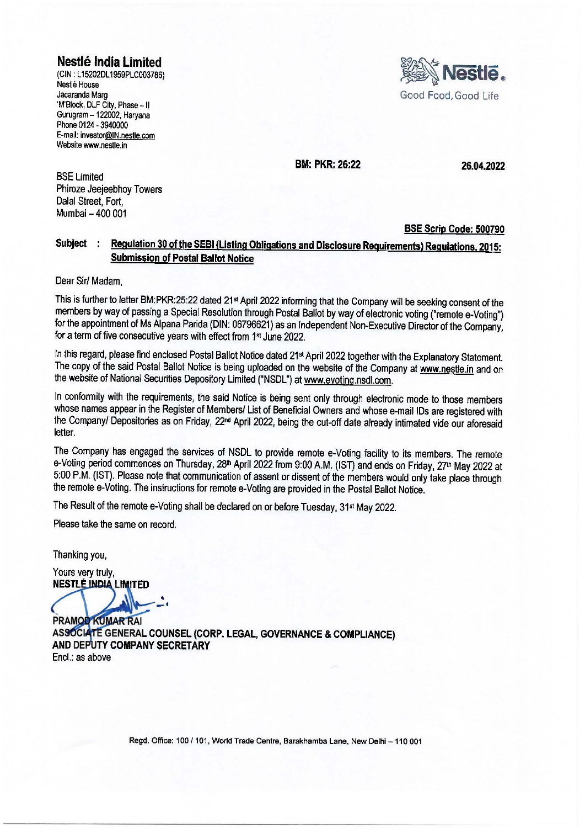# **Nestle India Limited**

(CIN : l 15202DL1959PLC003786) Nestle House Jacaranda Marg 'M'Block, DLF City, Phase - II Gurugram - 122002, Haryana Phone 0124 - 3940000 E-mail: investor@IN.nestle.com Website www.nestle.in



**BM: PKR: 26:22 26.04.2022** 

BSE Limited Phiroze Jeejeebhoy Towers Dalal Street, Fort, Mumbai - 400 001

**BSE Scrip Code: 500790** 

# **Subject : Regulation 30 of the SEBI (Listing Obligations and Disclosure Requirements) Regulations, 2015: Submission of Postal Ballot Notice**

Dear Sir/ Madam,

This is further to letter BM:PKR:25:22 dated 21<sup>st</sup> April 2022 informing that the Company will be seeking consent of the members by way of passing a Special Resolution through Postal Ballot by way of electronic voting ("remote e-Voting") for the appointment of Ms Alpana Parida (DIN: 06796621) as an Independent Non-Executive Director of the Company, for a term of five consecutive years with effect from 1st June 2022.

In this regard, please find enclosed Postal Ballot Notice dated 21<sup>st</sup> April 2022 together with the Explanatory Statement. The copy of the said Postal Ballot Notice is being uploaded on the website of the Company at www.nestle.in and on the website of National Securities Depository Limited ('NSDL") at www.evoting.nsdl.com.

In conformity with the requirements, the said Notice is being sent only through electronic mode to those members whose names appear in the Register of Members/ List of Beneficial Owners and whose e-mail IDs are registered with the Company/ Depositories as on Friday, 22nd April 2022, being the cut-off date already intimated vide our aforesaid letter.

The Company has engaged the services of NSDL to provide remote e-Voting facility to its members. The remote e-Voting period commences on Thursday, 28<sup>th</sup> April 2022 from 9:00 A.M. (IST) and ends on Friday, 27<sup>th</sup> May 2022 at 5:00 P.M. (1ST). Please note that communication of assent or dissent of the members would only take place through the remote e-Voting. The instructions for remote e-Voting are provided in the Postal Ballot Notice.

The Result of the remote e-Voting shall be declared on or before Tuesday, 31st May 2022.

Please take the same on record.

Thanking you,

Yours very truly, NESTLÉ INDIA LIMITED

ت

PRAMOD KUMAR RAI **GENERAL COUNSEL (CORP. LEGAL, GOVERNANCE & COMPLIANCE) AND DEPUTY COMPANY SECRETARY** Encl.: as above

Regd. Office: 100 / 101, World Trade Centre, Barakhamba Lane, New Delhi - 110 001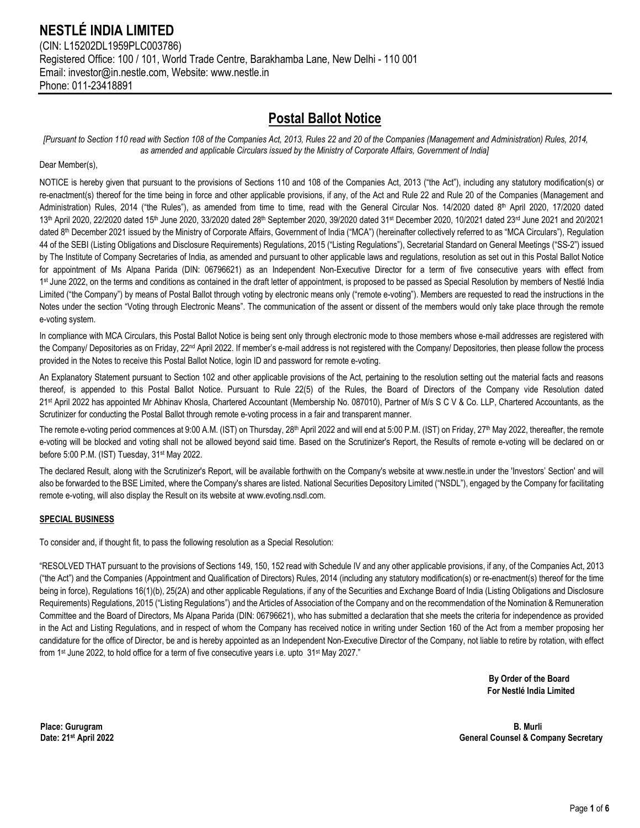# **Postal Ballot Notice**

*[Pursuant to Section 110 read with Section 108 of the Companies Act, 2013, Rules 22 and 20 of the Companies (Management and Administration) Rules, 2014, as amended and applicable Circulars issued by the Ministry of Corporate Affairs, Government of India]*

Dear Member(s),

NOTICE is hereby given that pursuant to the provisions of Sections 110 and 108 of the Companies Act, 2013 ("the Act"), including any statutory modification(s) or re-enactment(s) thereof for the time being in force and other applicable provisions, if any, of the Act and Rule 22 and Rule 20 of the Companies (Management and Administration) Rules, 2014 ("the Rules"), as amended from time to time, read with the General Circular Nos. 14/2020 dated 8<sup>th</sup> April 2020, 17/2020 dated  $13<sup>th</sup>$  April 2020, 22/2020 dated  $15<sup>th</sup>$  June 2020,  $33/2020$  dated  $28<sup>th</sup>$  September 2020,  $39/2020$  dated  $31<sup>st</sup>$  December 2020, 10/2021 dated  $23<sup>rd</sup>$  June 2021 and 20/2021 dated 8<sup>th</sup> December 2021 issued by the Ministry of Corporate Affairs, Government of India ("MCA") (hereinafter collectively referred to as "MCA Circulars"), Regulation 44 of the SEBI (Listing Obligations and Disclosure Requirements) Regulations, 2015 ("Listing Regulations"), Secretarial Standard on General Meetings ("SS-2") issued by The Institute of Company Secretaries of India, as amended and pursuant to other applicable laws and regulations, resolution as set out in this Postal Ballot Notice for appointment of Ms Alpana Parida (DIN: 06796621) as an Independent Non-Executive Director for a term of five consecutive years with effect from 1st June 2022, on the terms and conditions as contained in the draft letter of appointment, is proposed to be passed as Special Resolution by members of Nestlé India Limited ("the Company") by means of Postal Ballot through voting by electronic means only ("remote e-voting"). Members are requested to read the instructions in the Notes under the section "Voting through Electronic Means". The communication of the assent or dissent of the members would only take place through the remote e-voting system.

In compliance with MCA Circulars, this Postal Ballot Notice is being sent only through electronic mode to those members whose e-mail addresses are registered with the Company/ Depositories as on Friday, 22<sup>nd</sup> April 2022. If member's e-mail address is not registered with the Company/ Depositories, then please follow the process provided in the Notes to receive this Postal Ballot Notice, login ID and password for remote e-voting.

An Explanatory Statement pursuant to Section 102 and other applicable provisions of the Act, pertaining to the resolution setting out the material facts and reasons thereof, is appended to this Postal Ballot Notice. Pursuant to Rule 22(5) of the Rules, the Board of Directors of the Company vide Resolution dated 21<sup>st</sup> April 2022 has appointed Mr Abhinav Khosla, Chartered Accountant (Membership No. 087010), Partner of M/s S C V & Co. LLP, Chartered Accountants, as the Scrutinizer for conducting the Postal Ballot through remote e-voting process in a fair and transparent manner.

The remote e-voting period commences at 9:00 A.M. (IST) on Thursday, 28<sup>th</sup> April 2022 and will end at 5:00 P.M. (IST) on Friday, 27<sup>th</sup> May 2022, thereafter, the remote e-voting will be blocked and voting shall not be allowed beyond said time. Based on the Scrutinizer's Report, the Results of remote e-voting will be declared on or before 5:00 P.M. (IST) Tuesday, 31st May 2022.

The declared Result, along with the Scrutinizer's Report, will be available forthwith on the Company's website at www.nestle.in under the 'Investors' Section' and will also be forwarded to the BSE Limited, where the Company's shares are listed. National Securities Depository Limited ("NSDL"), engaged by the Company for facilitating remote e-voting, will also display the Result on its website at [www.evoting.nsdl.com.](http://www.evoting.nsdl.com/)

# **SPECIAL BUSINESS**

To consider and, if thought fit, to pass the following resolution as a Special Resolution:

"RESOLVED THAT pursuant to the provisions of Sections 149, 150, 152 read with Schedule IV and any other applicable provisions, if any, of the Companies Act, 2013 ("the Act") and the Companies (Appointment and Qualification of Directors) Rules, 2014 (including any statutory modification(s) or re-enactment(s) thereof for the time being in force), Regulations 16(1)(b), 25(2A) and other applicable Regulations, if any of the Securities and Exchange Board of India (Listing Obligations and Disclosure Requirements) Regulations, 2015 ("Listing Regulations") and the Articles of Association of the Company and on the recommendation of the Nomination & Remuneration Committee and the Board of Directors, Ms Alpana Parida (DIN: 06796621), who has submitted a declaration that she meets the criteria for independence as provided in the Act and Listing Regulations, and in respect of whom the Company has received notice in writing under Section 160 of the Act from a member proposing her candidature for the office of Director, be and is hereby appointed as an Independent Non-Executive Director of the Company, not liable to retire by rotation, with effect from 1<sup>st</sup> June 2022, to hold office for a term of five consecutive years i.e. upto 31<sup>st</sup> May 2027."

> **By Order of the Board For Nestlé India Limited**

**Place: Gurugram Date: 21st April 2022**

 **B. Murli General Counsel & Company Secretary**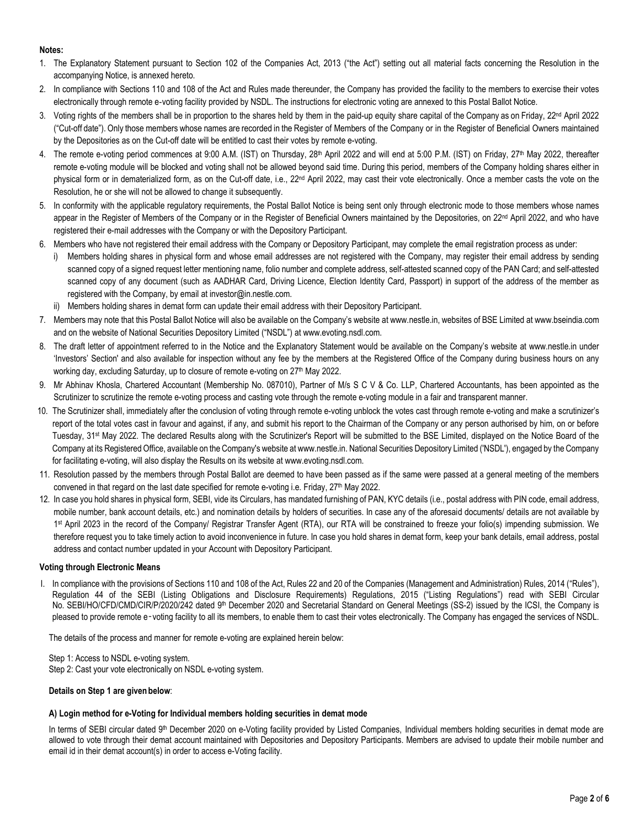# **Notes:**

- 1. The Explanatory Statement pursuant to Section 102 of the Companies Act, 2013 ("the Act") setting out all material facts concerning the Resolution in the accompanying Notice, is annexed hereto.
- 2. In compliance with Sections 110 and 108 of the Act and Rules made thereunder, the Company has provided the facility to the members to exercise their votes electronically through remote e-voting facility provided by NSDL. The instructions for electronic voting are annexed to this Postal Ballot Notice.
- 3. Voting rights of the members shall be in proportion to the shares held by them in the paid-up equity share capital of the Company as on Friday, 22<sup>nd</sup> April 2022 ("Cut-off date"). Only those members whose names are recorded in the Register of Members of the Company or in the Register of Beneficial Owners maintained by the Depositories as on the Cut-off date will be entitled to cast their votes by remote e-voting.
- 4. The remote e-voting period commences at 9:00 A.M. (IST) on Thursday, 28<sup>th</sup> April 2022 and will end at 5:00 P.M. (IST) on Friday, 27<sup>th</sup> May 2022, thereafter remote e-voting module will be blocked and voting shall not be allowed beyond said time. During this period, members of the Company holding shares either in physical form or in dematerialized form, as on the Cut-off date, i.e., 22nd April 2022, may cast their vote electronically. Once a member casts the vote on the Resolution, he or she will not be allowed to change it subsequently.
- 5. In conformity with the applicable regulatory requirements, the Postal Ballot Notice is being sent only through electronic mode to those members whose names appear in the Register of Members of the Company or in the Register of Beneficial Owners maintained by the Depositories, on 22<sup>nd</sup> April 2022, and who have registered their e-mail addresses with the Company or with the Depository Participant.
- 6. Members who have not registered their email address with the Company or Depository Participant, may complete the email registration process as under:
	- i) Members holding shares in physical form and whose email addresses are not registered with the Company, may register their email address by sending scanned copy of a signed request letter mentioning name, folio number and complete address, self-attested scanned copy of the PAN Card; and self-attested scanned copy of any document (such as AADHAR Card, Driving Licence, Election Identity Card, Passport) in support of the address of the member as registered with the Company, by email at investor@in.nestle.com.
- ii) Members holding shares in demat form can update their email address with their Depository Participant.
- 7. Members may note that this Postal Ballot Notice will also be available on the Company's website a[t www.nestle.in,](http://www.nestle.in/) websites of BSE Limited at www.bseindia.com and on the website of National Securities Depository Limited ("NSDL") at [www.evoting.nsdl.com.](http://www.evoting.nsdl.com/)
- 8. The draft letter of appointment referred to in the Notice and the Explanatory Statement would be available on the Company's website at [www.nestle.in](http://www.nestle.in/) under 'Investors' Section' and also available for inspection without any fee by the members at the Registered Office of the Company during business hours on any working day, excluding Saturday, up to closure of remote e-voting on 27<sup>th</sup> May 2022.
- 9. Mr Abhinav Khosla, Chartered Accountant (Membership No. 087010), Partner of M/s S C V & Co. LLP, Chartered Accountants, has been appointed as the Scrutinizer to scrutinize the remote e-voting process and casting vote through the remote e-voting module in a fair and transparent manner.
- 10. The Scrutinizer shall, immediately after the conclusion of voting through remote e-voting unblock the votes cast through remote e-voting and make a scrutinizer's report of the total votes cast in favour and against, if any, and submit his report to the Chairman of the Company or any person authorised by him, on or before Tuesday, 31st May 2022. The declared Results along with the Scrutinizer's Report will be submitted to the BSE Limited, displayed on the Notice Board of the Company at its Registered Office, available on the Company's website at www.nestle.in. National Securities Depository Limited ('NSDL'), engaged by the Company for facilitating e-voting, will also display the Results on its website at www.evoting.nsdl.com.
- 11. Resolution passed by the members through Postal Ballot are deemed to have been passed as if the same were passed at a general meeting of the members convened in that regard on the last date specified for remote e-voting i.e. Friday, 27<sup>th</sup> May 2022.
- 12. In case you hold shares in physical form, SEBI, vide its Circulars, has mandated furnishing of PAN, KYC details (i.e., postal address with PIN code, email address, mobile number, bank account details, etc.) and nomination details by holders of securities. In case any of the aforesaid documents/ details are not available by 1<sup>st</sup> April 2023 in the record of the Company/ Registrar Transfer Agent (RTA), our RTA will be constrained to freeze your folio(s) impending submission. We therefore request you to take timely action to avoid inconvenience in future. In case you hold shares in demat form, keep your bank details, email address, postal address and contact number updated in your Account with Depository Participant.

# **Voting through Electronic Means**

I. In compliance with the provisions of Sections 110 and 108 of the Act, Rules 22 and 20 of the Companies (Management and Administration) Rules, 2014 ("Rules"), Regulation 44 of the SEBI (Listing Obligations and Disclosure Requirements) Regulations, 2015 ("Listing Regulations") read with SEBI Circular No. SEBI/HO/CFD/CMD/CIR/P/2020/242 dated 9<sup>th</sup> December 2020 and Secretarial Standard on General Meetings (SS-2) issued by the ICSI, the Company is pleased to provide remote e‑voting facility to all its members, to enable them to cast their votes electronically. The Company has engaged the services of NSDL.

The details of the process and manner for remote e-voting are explained herein below:

Step 1: Access to NSDL e-voting system. Step 2: Cast your vote electronically on NSDL e-voting system.

#### **Details on Step 1 are given below**:

# **A) Login method for e-Voting for Individual members holding securities in demat mode**

In terms of SEBI circular dated 9<sup>th</sup> December 2020 on e-Voting facility provided by Listed Companies, Individual members holding securities in demat mode are allowed to vote through their demat account maintained with Depositories and Depository Participants. Members are advised to update their mobile number and email id in their demat account(s) in order to access e-Voting facility.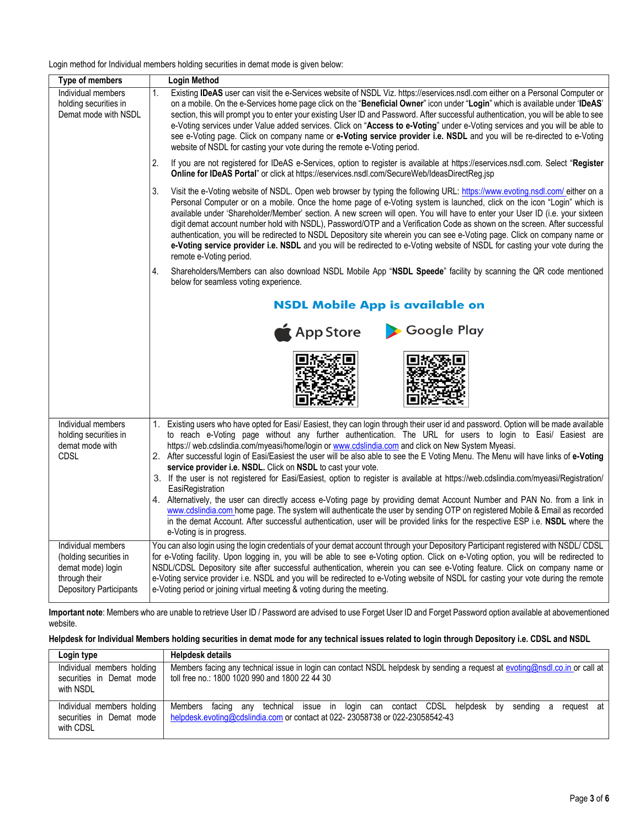Login method for Individual members holding securities in demat mode is given below:

| <b>Type of members</b>                                                                                        | <b>Login Method</b>                                                                                                                                                                                                                                                                                                                                                                                                                                                                                                                                                                                                                                                                                                                                                                                              |  |
|---------------------------------------------------------------------------------------------------------------|------------------------------------------------------------------------------------------------------------------------------------------------------------------------------------------------------------------------------------------------------------------------------------------------------------------------------------------------------------------------------------------------------------------------------------------------------------------------------------------------------------------------------------------------------------------------------------------------------------------------------------------------------------------------------------------------------------------------------------------------------------------------------------------------------------------|--|
| Individual members<br>holding securities in<br>Demat mode with NSDL                                           | Existing IDeAS user can visit the e-Services website of NSDL Viz. https://eservices.nsdl.com either on a Personal Computer or<br>1.<br>on a mobile. On the e-Services home page click on the "Beneficial Owner" icon under "Login" which is available under 'IDeAS'<br>section, this will prompt you to enter your existing User ID and Password. After successful authentication, you will be able to see<br>e-Voting services under Value added services. Click on "Access to e-Voting" under e-Voting services and you will be able to<br>see e-Voting page. Click on company name or e-Voting service provider i.e. NSDL and you will be re-directed to e-Voting<br>website of NSDL for casting your vote during the remote e-Voting period.                                                                 |  |
|                                                                                                               | 2.<br>If you are not registered for IDeAS e-Services, option to register is available at https://eservices.nsdl.com. Select "Register<br>Online for IDeAS Portal" or click at https://eservices.nsdl.com/SecureWeb/IdeasDirectReg.jsp                                                                                                                                                                                                                                                                                                                                                                                                                                                                                                                                                                            |  |
|                                                                                                               | 3.<br>Visit the e-Voting website of NSDL. Open web browser by typing the following URL: https://www.evoting.nsdl.com/either on a<br>Personal Computer or on a mobile. Once the home page of e-Voting system is launched, click on the icon "Login" which is<br>available under 'Shareholder/Member' section. A new screen will open. You will have to enter your User ID (i.e. your sixteen<br>digit demat account number hold with NSDL), Password/OTP and a Verification Code as shown on the screen. After successful<br>authentication, you will be redirected to NSDL Depository site wherein you can see e-Voting page. Click on company name or<br>e-Voting service provider i.e. NSDL and you will be redirected to e-Voting website of NSDL for casting your vote during the<br>remote e-Voting period. |  |
|                                                                                                               | Shareholders/Members can also download NSDL Mobile App "NSDL Speede" facility by scanning the QR code mentioned<br>4.<br>below for seamless voting experience.                                                                                                                                                                                                                                                                                                                                                                                                                                                                                                                                                                                                                                                   |  |
|                                                                                                               | <b>NSDL Mobile App is available on</b>                                                                                                                                                                                                                                                                                                                                                                                                                                                                                                                                                                                                                                                                                                                                                                           |  |
|                                                                                                               | Google Play<br><b>App Store</b>                                                                                                                                                                                                                                                                                                                                                                                                                                                                                                                                                                                                                                                                                                                                                                                  |  |
|                                                                                                               |                                                                                                                                                                                                                                                                                                                                                                                                                                                                                                                                                                                                                                                                                                                                                                                                                  |  |
| Individual members<br>holding securities in                                                                   | 1. Existing users who have opted for Easi/ Easiest, they can login through their user id and password. Option will be made available<br>to reach e-Voting page without any further authentication. The URL for users to login to Easi/ Easiest are<br>https:// web.cdslindia.com/myeasi/home/login or www.cdslindia.com and click on New System Myeasi.<br>2. After successful login of Easi/Easiest the user will be also able to see the E Voting Menu. The Menu will have links of e-Voting                                                                                                                                                                                                                                                                                                                   |  |
| demat mode with<br><b>CDSL</b>                                                                                |                                                                                                                                                                                                                                                                                                                                                                                                                                                                                                                                                                                                                                                                                                                                                                                                                  |  |
|                                                                                                               | service provider i.e. NSDL. Click on NSDL to cast your vote.<br>3. If the user is not registered for Easi/Easiest, option to register is available at https://web.cdslindia.com/myeasi/Registration/                                                                                                                                                                                                                                                                                                                                                                                                                                                                                                                                                                                                             |  |
|                                                                                                               | EasiRegistration<br>4. Alternatively, the user can directly access e-Voting page by providing demat Account Number and PAN No. from a link in                                                                                                                                                                                                                                                                                                                                                                                                                                                                                                                                                                                                                                                                    |  |
|                                                                                                               | www.cdslindia.com home page. The system will authenticate the user by sending OTP on registered Mobile & Email as recorded<br>in the demat Account. After successful authentication, user will be provided links for the respective ESP i.e. NSDL where the<br>e-Voting is in progress.                                                                                                                                                                                                                                                                                                                                                                                                                                                                                                                          |  |
| Individual members<br>(holding securities in<br>demat mode) login<br>through their<br>Depository Participants | You can also login using the login credentials of your demat account through your Depository Participant registered with NSDL/ CDSL<br>for e-Voting facility. Upon logging in, you will be able to see e-Voting option. Click on e-Voting option, you will be redirected to<br>NSDL/CDSL Depository site after successful authentication, wherein you can see e-Voting feature. Click on company name or<br>e-Voting service provider i.e. NSDL and you will be redirected to e-Voting website of NSDL for casting your vote during the remote<br>e-Voting period or joining virtual meeting & voting during the meeting.                                                                                                                                                                                        |  |

**Important note**: Members who are unable to retrieve User ID / Password are advised to use Forget User ID and Forget Password option available at abovementioned website.

# **Helpdesk for Individual Members holding securities in demat mode for any technical issues related to login through Depository i.e. CDSL and NSDL**

| Login type                                                          | <b>Helpdesk details</b>                                                                                                                                                                                 |
|---------------------------------------------------------------------|---------------------------------------------------------------------------------------------------------------------------------------------------------------------------------------------------------|
| Individual members holding<br>securities in Demat mode<br>with NSDL | Members facing any technical issue in login can contact NSDL helpdesk by sending a request at evoting@nsdl.co.in or call at<br>toll free no.: 1800 1020 990 and 1800 22 44 30                           |
| Individual members holding<br>securities in Demat mode<br>with CDSL | login can contact CDSL helpdesk by<br>at l<br>Members<br>technical issue in<br>sendina<br>reauest<br>facing<br>anv<br>a<br>helpdesk.evoting@cdslindia.com or contact at 022-23058738 or 022-23058542-43 |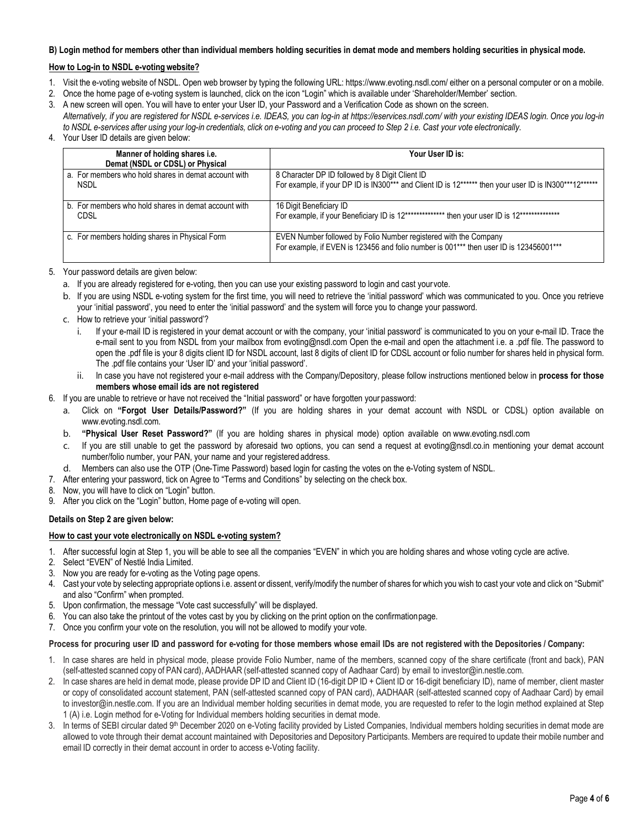#### **B) Login method for members other than individual members holding securities in demat mode and members holding securities in physical mode.**

#### **How to Log-in to NSDL e-votingwebsite?**

- 1. Visit the e-voting website of NSDL. Open web browser by typing the following URL: https:/[/www.evoting.nsdl.com/](http://www.evoting.nsdl.com/) either on a personal computer or on a mobile.
- 2. Once the home page of e-voting system is launched, click on the icon "Login" which is available under 'Shareholder/Member' section.
- 3. A new screen will open. You will have to enter your User ID, your Password and a Verification Code as shown on the screen. *Alternatively, if you are registered for NSDL e-services i.e. IDEAS, you can log-in at https://eservices.nsdl.com/ with your existing IDEAS login. Once you log-in* to NSDL e-services after using your log-in credentials, click on e-voting and you can proceed to Step 2 i.e. Cast your vote electronically.
- 4. Your User ID details are given below:

| Manner of holding shares i.e.<br>Demat (NSDL or CDSL) or Physical | Your User ID is:                                                                                                                                           |
|-------------------------------------------------------------------|------------------------------------------------------------------------------------------------------------------------------------------------------------|
| a. For members who hold shares in demat account with              | 8 Character DP ID followed by 8 Digit Client ID                                                                                                            |
| <b>NSDL</b>                                                       | For example, if your DP ID is IN300*** and Client ID is 12****** then your user ID is IN300***12******                                                     |
| b. For members who hold shares in demat account with              | 16 Digit Beneficiary ID                                                                                                                                    |
| <b>CDSL</b>                                                       | For example, if your Beneficiary ID is 12************** then your user ID is 12***************                                                             |
| c. For members holding shares in Physical Form                    | EVEN Number followed by Folio Number registered with the Company<br>For example, if EVEN is 123456 and folio number is 001*** then user ID is 123456001*** |

- 5. Your password details are given below:
	- a. If you are already registered for e-voting, then you can use your existing password to login and cast yourvote.
	- b. If you are using NSDL e-voting system for the first time, you will need to retrieve the 'initial password' which was communicated to you. Once you retrieve your 'initial password', you need to enter the 'initial password' and the system will force you to change your password.
	- c. How to retrieve your 'initial password'?
		- i. If your e-mail ID is registered in your demat account or with the company, your 'initial password' is communicated to you on your e-mail ID. Trace the e-mail sent to you from NSDL from your mailbox from [evoting@nsdl.com](mailto:evoting@nsdl.com) Open the e-mail and open the attachment i.e. a .pdf file. The password to open the .pdf file is your 8 digits client ID for NSDL account, last 8 digits of client ID for CDSL account or folio number for shares held in physical form. The .pdf file contains your 'User ID' and your 'initial password'.
		- ii. In case you have not registered your e-mail address with the Company/Depository, please follow instructions mentioned below in **process for those members whose email ids are not registered**
- 6. If you are unable to retrieve or have not received the "Initial password" or have forgotten your password:
	- a. Click on **"Forgot User Details/Password?"** (If you are holding shares in your demat account with NSDL or CDSL) option available on [www.evoting.nsdl.com.](http://www.evoting.nsdl.com/)
	- b. **"Physical User Reset Password?"** (If you are holding shares in physical mode) option available on [www.evoting.nsdl.com](http://www.evoting.nsdl.com/)
	- c. If you are still unable to get the password by aforesaid two options, you can send a request at [evoting@nsdl.co.in](mailto:evoting@nsdl.co.in) mentioning your demat account number/folio number, your PAN, your name and your registered address.
	- d. Members can also use the OTP (One-Time Password) based login for casting the votes on the e-Voting system of NSDL.
- 7. After entering your password, tick on Agree to "Terms and Conditions" by selecting on the check box.
- 8. Now, you will have to click on "Login" button.
- 9. After you click on the "Login" button, Home page of e-voting will open.

# **Details on Step 2 are given below:**

#### **How to cast your vote electronically on NSDL e-voting system?**

- 1. After successful login at Step 1, you will be able to see all the companies "EVEN" in which you are holding shares and whose voting cycle are active.
- 2. Select "EVEN" of Nestlé India Limited.
- 3. Now you are ready for e-voting as the Voting page opens.
- 4. Cast your vote by selecting appropriate options i.e. assent or dissent, verify/modify the number of shares for which you wish to cast your vote and click on "Submit" and also "Confirm" when prompted.
- 5. Upon confirmation, the message "Vote cast successfully" will be displayed.
- 6. You can also take the printout of the votes cast by you by clicking on the print option on the confirmationpage.
- 7. Once you confirm your vote on the resolution, you will not be allowed to modify your vote.

#### Process for procuring user ID and password for e-voting for those members whose email IDs are not registered with the Depositories / Company:

- 1. In case shares are held in physical mode, please provide Folio Number, name of the members, scanned copy of the share certificate (front and back), PAN (self-attested scanned copy of PAN card), AADHAAR (self-attested scanned copy of Aadhaar Card) by email to investor@in.nestle.com.
- 2. In case shares are held in demat mode, please provide DP ID and Client ID (16-digit DP ID + Client ID or 16-digit beneficiary ID), name of member, client master or copy of consolidated account statement, PAN (self-attested scanned copy of PAN card), AADHAAR (self-attested scanned copy of Aadhaar Card) by email to investor@in.nestle.com. If you are an Individual member holding securities in demat mode, you are requested to refer to the login method explained at Step 1 (A) i.e. Login method for e-Voting for Individual members holding securities in demat mode.
- 3. In terms of SEBI circular dated 9<sup>th</sup> December 2020 on e-Voting facility provided by Listed Companies, Individual members holding securities in demat mode are allowed to vote through their demat account maintained with Depositories and Depository Participants. Members are required to update their mobile number and email ID correctly in their demat account in order to access e-Voting facility.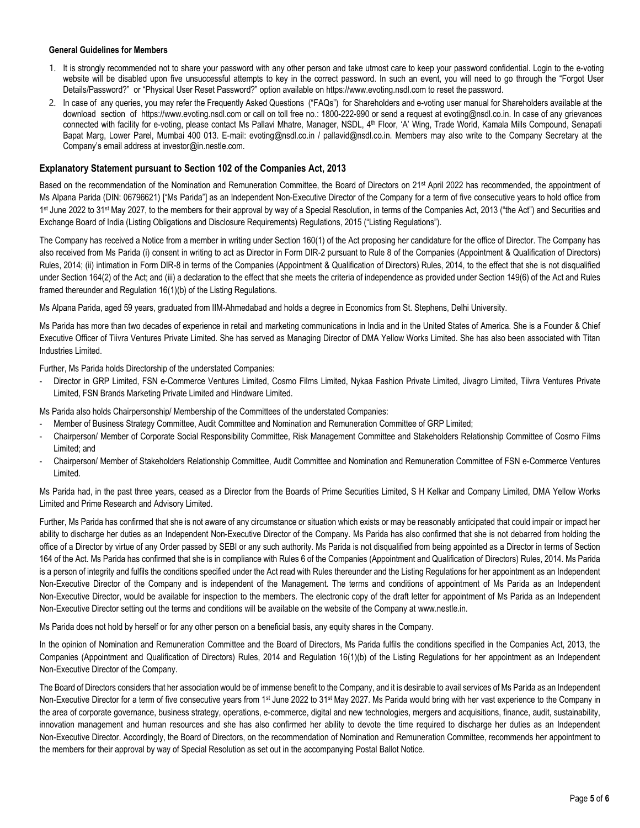#### **General Guidelines for Members**

- 1. It is strongly recommended not to share your password with any other person and take utmost care to keep your password confidential. Login to the e-voting website will be disabled upon five unsuccessful attempts to key in the correct password. In such an event, you will need to go through the "Forgot User Details/Password?" or "Physical User Reset Password?" option available on https:[//www.evoting.nsdl.com to](http://www.evoting.nsdl.com/) reset the password.
- 2. In case of any queries, you may refer the Frequently Asked Questions ("FAQs") for Shareholders and e-voting user manual for Shareholders available at the download section of https:[//www.evoting.nsdl.com](http://www.evoting.nsdl.com/) or call on toll free no.: 1800-222-990 or send a request at [evoting@nsdl.co.in.](mailto:evoting@nsdl.co.in) In case of any grievances connected with facility for e-voting, please contact Ms Pallavi Mhatre, Manager, NSDL, 4th Floor, 'A' Wing, Trade World, Kamala Mills Compound, Senapati Bapat Marg, Lower Parel, Mumbai 400 013. E-mail: [evoting@nsdl.co.in / pallavid@nsdl.co.in.](mailto:evoting@nsdl.co.in%20/%20pallavid@nsdl.co.in) Members may also write to the Company Secretary at the Company's email address at investor@in.nestle.com.

#### **Explanatory Statement pursuant to Section 102 of the Companies Act, 2013**

Based on the recommendation of the Nomination and Remuneration Committee, the Board of Directors on 21<sup>st</sup> April 2022 has recommended, the appointment of Ms Alpana Parida (DIN: 06796621) ["Ms Parida"] as an Independent Non-Executive Director of the Company for a term of five consecutive years to hold office from 1<sup>st</sup> June 2022 to 31<sup>st</sup> May 2027, to the members for their approval by way of a Special Resolution, in terms of the Companies Act, 2013 ("the Act") and Securities and Exchange Board of India (Listing Obligations and Disclosure Requirements) Regulations, 2015 ("Listing Regulations").

The Company has received a Notice from a member in writing under Section 160(1) of the Act proposing her candidature for the office of Director. The Company has also received from Ms Parida (i) consent in writing to act as Director in Form DIR-2 pursuant to Rule 8 of the Companies (Appointment & Qualification of Directors) Rules, 2014; (ii) intimation in Form DIR-8 in terms of the Companies (Appointment & Qualification of Directors) Rules, 2014, to the effect that she is not disqualified under Section 164(2) of the Act; and (iii) a declaration to the effect that she meets the criteria of independence as provided under Section 149(6) of the Act and Rules framed thereunder and Regulation 16(1)(b) of the Listing Regulations.

Ms Alpana Parida, aged 59 years, graduated from IIM-Ahmedabad and holds a degree in Economics from St. Stephens, Delhi University.

Ms Parida has more than two decades of experience in retail and marketing communications in India and in the United States of America. She is a Founder & Chief Executive Officer of Tiivra Ventures Private Limited. She has served as Managing Director of DMA Yellow Works Limited. She has also been associated with Titan Industries Limited.

Further, Ms Parida holds Directorship of the understated Companies:

- Director in GRP Limited, FSN e-Commerce Ventures Limited, Cosmo Films Limited, Nykaa Fashion Private Limited, Jivagro Limited, Tiivra Ventures Private Limited, FSN Brands Marketing Private Limited and Hindware Limited.

Ms Parida also holds Chairpersonship/ Membership of the Committees of the understated Companies:

- Member of Business Strategy Committee, Audit Committee and Nomination and Remuneration Committee of GRP Limited;
- Chairperson/ Member of Corporate Social Responsibility Committee, Risk Management Committee and Stakeholders Relationship Committee of Cosmo Films Limited; and
- Chairperson/ Member of Stakeholders Relationship Committee, Audit Committee and Nomination and Remuneration Committee of FSN e-Commerce Ventures Limited.

Ms Parida had, in the past three years, ceased as a Director from the Boards of Prime Securities Limited, S H Kelkar and Company Limited, DMA Yellow Works Limited and Prime Research and Advisory Limited.

Further, Ms Parida has confirmed that she is not aware of any circumstance or situation which exists or may be reasonably anticipated that could impair or impact her ability to discharge her duties as an Independent Non-Executive Director of the Company. Ms Parida has also confirmed that she is not debarred from holding the office of a Director by virtue of any Order passed by SEBI or any such authority. Ms Parida is not disqualified from being appointed as a Director in terms of Section 164 of the Act. Ms Parida has confirmed that she is in compliance with Rules 6 of the Companies (Appointment and Qualification of Directors) Rules, 2014. Ms Parida is a person of integrity and fulfils the conditions specified under the Act read with Rules thereunder and the Listing Regulations for her appointment as an Independent Non-Executive Director of the Company and is independent of the Management. The terms and conditions of appointment of Ms Parida as an Independent Non-Executive Director, would be available for inspection to the members. The electronic copy of the draft letter for appointment of Ms Parida as an Independent Non-Executive Director setting out the terms and conditions will be available on the website of the Company at www.nestle.in.

Ms Parida does not hold by herself or for any other person on a beneficial basis, any equity shares in the Company.

In the opinion of Nomination and Remuneration Committee and the Board of Directors, Ms Parida fulfils the conditions specified in the Companies Act, 2013, the Companies (Appointment and Qualification of Directors) Rules, 2014 and Regulation 16(1)(b) of the Listing Regulations for her appointment as an Independent Non-Executive Director of the Company.

The Board of Directors considers that her association would be of immense benefit to the Company, and it is desirable to avail services of Ms Parida as an Independent Non-Executive Director for a term of five consecutive years from 1<sup>st</sup> June 2022 to 31<sup>st</sup> May 2027. Ms Parida would bring with her vast experience to the Company in the area of corporate governance, business strategy, operations, e-commerce, digital and new technologies, mergers and acquisitions, finance, audit, sustainability, innovation management and human resources and she has also confirmed her ability to devote the time required to discharge her duties as an Independent Non-Executive Director. Accordingly, the Board of Directors, on the recommendation of Nomination and Remuneration Committee, recommends her appointment to the members for their approval by way of Special Resolution as set out in the accompanying Postal Ballot Notice.